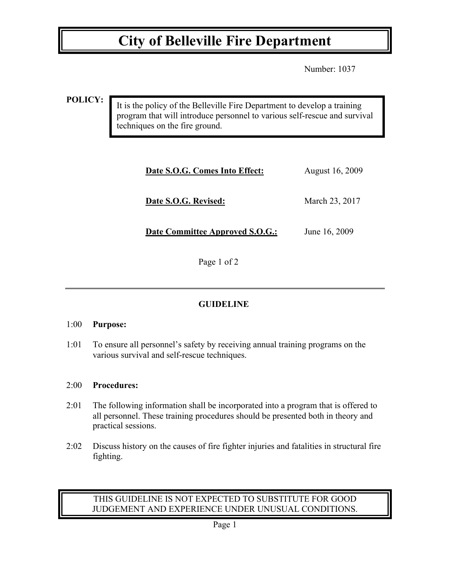# **City of Belleville Fire Department**

Number: 1037

**POLICY:**

It is the policy of the Belleville Fire Department to develop a training program that will introduce personnel to various self-rescue and survival techniques on the fire ground.

| Date S.O.G. Comes Into Effect:         | August 16, 2009 |
|----------------------------------------|-----------------|
| Date S.O.G. Revised:                   | March 23, 2017  |
| <b>Date Committee Approved S.O.G.:</b> | June 16, 2009   |

Page 1 of 2

## **GUIDELINE**

### 1:00 **Purpose:**

1:01 To ensure all personnel's safety by receiving annual training programs on the various survival and self-rescue techniques.

### 2:00 **Procedures:**

- 2:01 The following information shall be incorporated into a program that is offered to all personnel. These training procedures should be presented both in theory and practical sessions.
- 2:02 Discuss history on the causes of fire fighter injuries and fatalities in structural fire fighting.

## THIS GUIDELINE IS NOT EXPECTED TO SUBSTITUTE FOR GOOD JUDGEMENT AND EXPERIENCE UNDER UNUSUAL CONDITIONS.